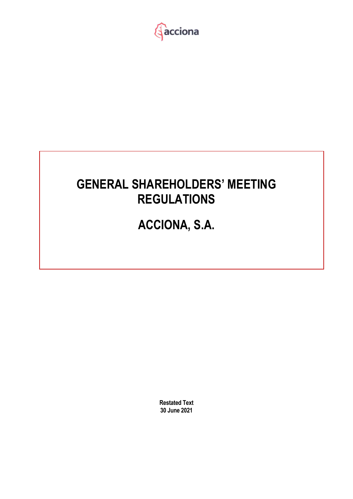

# **GENERAL SHAREHOLDERS' MEETING REGULATIONS**

# **ACCIONA, S.A.**

**Restated Text 30 June 2021**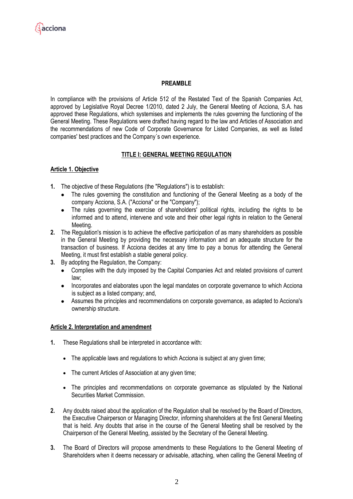## **PREAMBLE**

In compliance with the provisions of Article 512 of the Restated Text of the Spanish Companies Act, approved by Legislative Royal Decree 1/2010, dated 2 July, the General Meeting of Acciona, S.A. has approved these Regulations, which systemises and implements the rules governing the functioning of the General Meeting. These Regulations were drafted having regard to the law and Articles of Association and the recommendations of new Code of Corporate Governance for Listed Companies, as well as listed companies' best practices and the Company´s own experience.

## **TITLE I: GENERAL MEETING REGULATION**

## **Article 1. Objective**

- **1.** The objective of these Regulations (the "Regulations") is to establish:
	- The rules governing the constitution and functioning of the General Meeting as a body of the company Acciona, S.A. ("Acciona" or the "Company");
	- The rules governing the exercise of shareholders' political rights, including the rights to be informed and to attend, intervene and vote and their other legal rights in relation to the General Meeting.
- **2.** The Regulation's mission is to achieve the effective participation of as many shareholders as possible in the General Meeting by providing the necessary information and an adequate structure for the transaction of business. If Acciona decides at any time to pay a bonus for attending the General Meeting, it must first establish a stable general policy.
- **3.** By adopting the Regulation, the Company:
	- Complies with the duty imposed by the Capital Companies Act and related provisions of current law;
	- Incorporates and elaborates upon the legal mandates on corporate governance to which Acciona is subject as a listed company; and,
	- Assumes the principles and recommendations on corporate governance, as adapted to Acciona's ownership structure.

## **Article 2. Interpretation and amendment**

- **1.** These Regulations shall be interpreted in accordance with:
	- The applicable laws and regulations to which Acciona is subject at any given time;
	- The current Articles of Association at any given time;
	- The principles and recommendations on corporate governance as stipulated by the National Securities Market Commission.
- **2.** Any doubts raised about the application of the Regulation shall be resolved by the Board of Directors, the Executive Chairperson or Managing Director, informing shareholders at the first General Meeting that is held. Any doubts that arise in the course of the General Meeting shall be resolved by the Chairperson of the General Meeting, assisted by the Secretary of the General Meeting.
- **3.** The Board of Directors will propose amendments to these Regulations to the General Meeting of Shareholders when it deems necessary or advisable, attaching, when calling the General Meeting of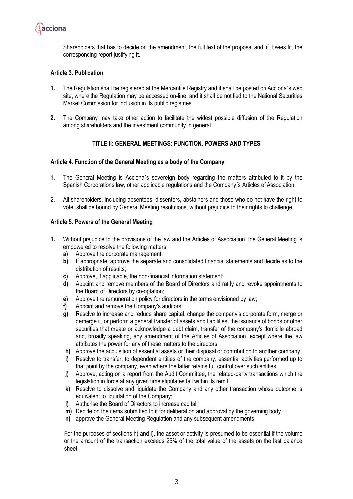

Shareholders that has to decide on the amendment, the full text of the proposal and, if it sees fit, the corresponding report justifying it.

## **Article 3. Publication**

- **1.** The Regulation shall be registered at the Mercantile Registry and it shall be posted on Acciona´s web site, where the Regulation may be accessed on-line, and it shall be notified to the National Securities Market Commission for inclusion in its public registries.
- **2.** The Company may take other action to facilitate the widest possible diffusion of the Regulation among shareholders and the investment community in general.

## **TITLE II: GENERAL MEETINGS: FUNCTION, POWERS AND TYPES**

#### **Article 4. Function of the General Meeting as a body of the Company**

- 1. The General Meeting is Acciona´s sovereign body regarding the matters attributed to it by the Spanish Corporations law, other applicable regulations and the Company´s Articles of Association.
- 2. All shareholders, including absentees, dissenters, abstainers and those who do not have the right to vote, shall be bound by General Meeting resolutions, without prejudice to their rights to challenge.

#### **Article 5. Powers of the General Meeting**

- **1.** Without prejudice to the provisions of the law and the Articles of Association, the General Meeting is empowered to resolve the following matters:
	- **a)** Approve the corporate management;
	- **b)** If appropriate, approve the separate and consolidated financial statements and decide as to the distribution of results;
	- **c)** Approve, if applicable, the non-financial information statement;
	- **d)** Appoint and remove members of the Board of Directors and ratify and revoke appointments to the Board of Directors by co-optation;
	- **e)** Approve the remuneration policy for directors in the terms envisioned by law;
	- **f)** Appoint and remove the Company's auditors;
	- **g)** Resolve to increase and reduce share capital, change the company's corporate form, merge or demerge it, or perform a general transfer of assets and liabilities, the issuance of bonds or other securities that create or acknowledge a debt claim, transfer of the company's domicile abroad and, broadly speaking, any amendment of the Articles of Association, except where the law attributes the power for any of these matters to the directors.
	- **h)** Approve the acquisition of essential assets or their disposal or contribution to another company.
	- **i)** Resolve to transfer, to dependent entities of the company, essential activities performed up to that point by the company, even where the latter retains full control over such entities;
	- **j)** Approve, acting on a report from the Audit Committee, the related-party transactions which the legislation in force at any given time stipulates fall within its remit;
	- **k)** Resolve to dissolve and liquidate the Company and any other transaction whose outcome is equivalent to liquidation of the Company;
	- **l)** Authorise the Board of Directors to increase capital;
	- **m)** Decide on the items submitted to it for deliberation and approval by the governing body.
	- **n)** approve the General Meeting Regulation and any subsequent amendments.

For the purposes of sections h) and i), the asset or activity is presumed to be essential if the volume or the amount of the transaction exceeds 25% of the total value of the assets on the last balance sheet.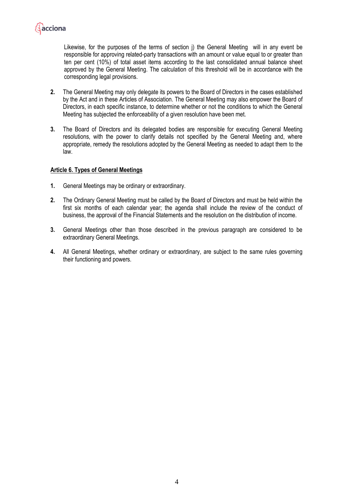

Likewise, for the purposes of the terms of section j) the General Meeting will in any event be responsible for approving related-party transactions with an amount or value equal to or greater than ten per cent (10%) of total asset items according to the last consolidated annual balance sheet approved by the General Meeting. The calculation of this threshold will be in accordance with the corresponding legal provisions.

- **2.** The General Meeting may only delegate its powers to the Board of Directors in the cases established by the Act and in these Articles of Association. The General Meeting may also empower the Board of Directors, in each specific instance, to determine whether or not the conditions to which the General Meeting has subjected the enforceability of a given resolution have been met.
- **3.** The Board of Directors and its delegated bodies are responsible for executing General Meeting resolutions, with the power to clarify details not specified by the General Meeting and, where appropriate, remedy the resolutions adopted by the General Meeting as needed to adapt them to the law.

#### **Article 6. Types of General Meetings**

- **1.** General Meetings may be ordinary or extraordinary.
- **2.** The Ordinary General Meeting must be called by the Board of Directors and must be held within the first six months of each calendar year; the agenda shall include the review of the conduct of business, the approval of the Financial Statements and the resolution on the distribution of income.
- **3.** General Meetings other than those described in the previous paragraph are considered to be extraordinary General Meetings.
- **4.** All General Meetings, whether ordinary or extraordinary, are subject to the same rules governing their functioning and powers.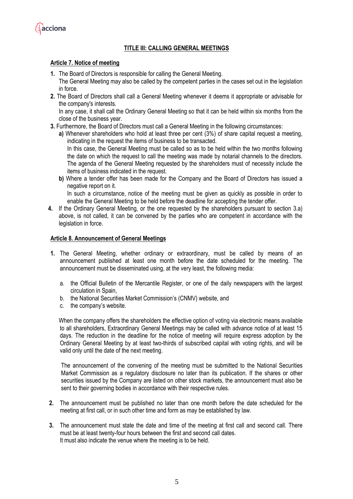

## **TITLE III: CALLING GENERAL MEETINGS**

#### **Article 7. Notice of meeting**

- **1.** The Board of Directors is responsible for calling the General Meeting.
- The General Meeting may also be called by the competent parties in the cases set out in the legislation in force.
- **2.** The Board of Directors shall call a General Meeting whenever it deems it appropriate or advisable for the company's interests.

In any case, it shall call the Ordinary General Meeting so that it can be held within six months from the close of the business year.

- **3.** Furthermore, the Board of Directors must call a General Meeting in the following circumstances:
	- **a)** Whenever shareholders who hold at least three per cent (3%) of share capital request a meeting, indicating in the request the items of business to be transacted.

In this case, the General Meeting must be called so as to be held within the two months following the date on which the request to call the meeting was made by notarial channels to the directors. The agenda of the General Meeting requested by the shareholders must of necessity include the items of business indicated in the request.

**b)** Where a tender offer has been made for the Company and the Board of Directors has issued a negative report on it.

In such a circumstance, notice of the meeting must be given as quickly as possible in order to enable the General Meeting to be held before the deadline for accepting the tender offer.

**4.** If the Ordinary General Meeting, or the one requested by the shareholders pursuant to section 3.a) above, is not called, it can be convened by the parties who are competent in accordance with the legislation in force.

#### **Article 8. Announcement of General Meetings**

- **1.** The General Meeting, whether ordinary or extraordinary, must be called by means of an announcement published at least one month before the date scheduled for the meeting. The announcement must be disseminated using, at the very least, the following media:
	- a. the Official Bulletin of the Mercantile Register, or one of the daily newspapers with the largest circulation in Spain,
	- b. the National Securities Market Commission's (CNMV) website, and
	- c. the company's website.

When the company offers the shareholders the effective option of voting via electronic means available to all shareholders, Extraordinary General Meetings may be called with advance notice of at least 15 days. The reduction in the deadline for the notice of meeting will require express adoption by the Ordinary General Meeting by at least two-thirds of subscribed capital with voting rights, and will be valid only until the date of the next meeting.

The announcement of the convening of the meeting must be submitted to the National Securities Market Commission as a regulatory disclosure no later than its publication. If the shares or other securities issued by the Company are listed on other stock markets, the announcement must also be sent to their governing bodies in accordance with their respective rules.

- **2.** The announcement must be published no later than one month before the date scheduled for the meeting at first call, or in such other time and form as may be established by law.
- **3.** The announcement must state the date and time of the meeting at first call and second call. There must be at least twenty-four hours between the first and second call dates. It must also indicate the venue where the meeting is to be held.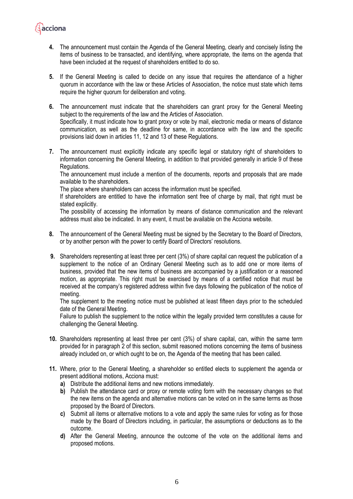**4.** The announcement must contain the Agenda of the General Meeting, clearly and concisely listing the items of business to be transacted, and identifying, where appropriate, the items on the agenda that have been included at the request of shareholders entitled to do so.

**A**acciona

- **5.** If the General Meeting is called to decide on any issue that requires the attendance of a higher quorum in accordance with the law or these Articles of Association, the notice must state which items require the higher quorum for deliberation and voting.
- **6.** The announcement must indicate that the shareholders can grant proxy for the General Meeting subject to the requirements of the law and the Articles of Association. Specifically, it must indicate how to grant proxy or vote by mail, electronic media or means of distance communication, as well as the deadline for same, in accordance with the law and the specific provisions laid down in articles 11, 12 and 13 of these Regulations.
- **7.** The announcement must explicitly indicate any specific legal or statutory right of shareholders to information concerning the General Meeting, in addition to that provided generally in article 9 of these Regulations.

The announcement must include a mention of the documents, reports and proposals that are made available to the shareholders.

The place where shareholders can access the information must be specified.

If shareholders are entitled to have the information sent free of charge by mail, that right must be stated explicitly.

The possibility of accessing the information by means of distance communication and the relevant address must also be indicated. In any event, it must be available on the Acciona website.

- **8.** The announcement of the General Meeting must be signed by the Secretary to the Board of Directors, or by another person with the power to certify Board of Directors' resolutions.
- **9.** Shareholders representing at least three per cent (3%) of share capital can request the publication of a supplement to the notice of an Ordinary General Meeting such as to add one or more items of business, provided that the new items of business are accompanied by a justification or a reasoned motion, as appropriate. This right must be exercised by means of a certified notice that must be received at the company's registered address within five days following the publication of the notice of meeting.

The supplement to the meeting notice must be published at least fifteen days prior to the scheduled date of the General Meeting.

Failure to publish the supplement to the notice within the legally provided term constitutes a cause for challenging the General Meeting.

- **10.** Shareholders representing at least three per cent (3%) of share capital, can, within the same term provided for in paragraph 2 of this section, submit reasoned motions concerning the items of business already included on, or which ought to be on, the Agenda of the meeting that has been called.
- **11.** Where, prior to the General Meeting, a shareholder so entitled elects to supplement the agenda or present additional motions, Acciona must:
	- **a)** Distribute the additional items and new motions immediately.
	- **b)** Publish the attendance card or proxy or remote voting form with the necessary changes so that the new items on the agenda and alternative motions can be voted on in the same terms as those proposed by the Board of Directors.
	- **c)** Submit all items or alternative motions to a vote and apply the same rules for voting as for those made by the Board of Directors including, in particular, the assumptions or deductions as to the outcome.
	- **d)** After the General Meeting, announce the outcome of the vote on the additional items and proposed motions.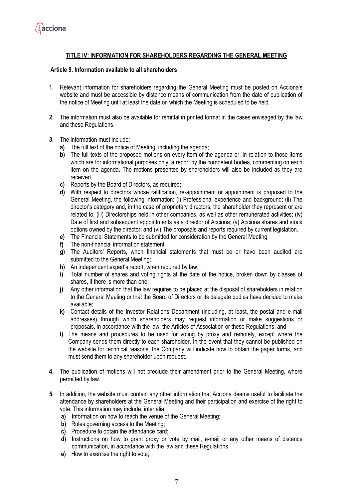

## **TITLE IV: INFORMATION FOR SHAREHOLDERS REGARDING THE GENERAL MEETING**

#### **Article 9. Information available to all shareholders**

- **1.** Relevant information for shareholders regarding the General Meeting must be posted on Acciona's website and must be accessible by distance means of communication from the date of publication of the notice of Meeting until at least the date on which the Meeting is scheduled to be held.
- **2.** The information must also be available for remittal in printed format in the cases envisaged by the law and these Regulations.
- **3.** The information must include:
	- **a)** The full text of the notice of Meeting, including the agenda;
	- **b)** The full texts of the proposed motions on every item of the agenda or, in relation to those items which are for informational purposes only, a report by the competent bodies, commenting on each item on the agenda. The motions presented by shareholders will also be included as they are received.
	- **c)** Reports by the Board of Directors, as required;
	- **d)** With respect to directors whose ratification, re-appointment or appointment is proposed to the General Meeting, the following information: (i) Professional experience and background; (ii) The director's category and, in the case of proprietary directors, the shareholder they represent or are related to. (iii) Directorships held in other companies, as well as other remunerated activities; (iv) Date of first and subsequent appointments as a director of Acciona; (v) Acciona shares and stock options owned by the director; and (vi) The proposals and reports required by current legislation.
	- **e)** The Financial Statements to be submitted for consideration by the General Meeting;
	- **f)** The non-financial information statement
	- **g)** The Auditors' Reports, when financial statements that must be or have been audited are submitted to the General Meeting;
	- **h)** An independent expert's report, when required by law;
	- **i)** Total number of shares and voting rights at the date of the notice, broken down by classes of shares, if there is more than one;
	- **j)** Any other information that the law requires to be placed at the disposal of shareholders in relation to the General Meeting or that the Board of Directors or its delegate bodies have decided to make available;
	- **k)** Contact details of the Investor Relations Department (including, at least, the postal and e-mail addresses) through which shareholders may request information or make suggestions or proposals, in accordance with the law, the Articles of Association or these Regulations; and
	- **l)** The means and procedures to be used for voting by proxy and remotely, except where the Company sends them directly to each shareholder. In the event that they cannot be published on the website for technical reasons, the Company will indicate how to obtain the paper forms, and must send them to any shareholder upon request.
- **4.** The publication of motions will not preclude their amendment prior to the General Meeting, where permitted by law.
- **5.** In addition, the website must contain any other information that Acciona deems useful to facilitate the attendance by shareholders at the General Meeting and their participation and exercise of the right to vote. This information may include, inter alia:
	- **a)** Information on how to reach the venue of the General Meeting;
	- **b)** Rules governing access to the Meeting;
	- **c)** Procedure to obtain the attendance card;
	- **d)** Instructions on how to grant proxy or vote by mail, e-mail or any other means of distance communication, in accordance with the law and these Regulations,
	- **e)** How to exercise the right to vote;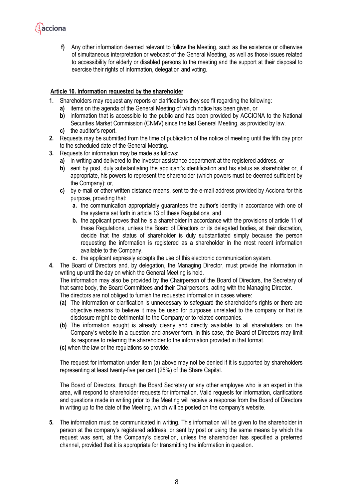

**f)** Any other information deemed relevant to follow the Meeting, such as the existence or otherwise of simultaneous interpretation or webcast of the General Meeting*,* as well as those issues related to accessibility for elderly or disabled persons to the meeting and the support at their disposal to exercise their rights of information, delegation and voting.

#### **Article 10. Information requested by the shareholder**

- **1.** Shareholders may request any reports or clarifications they see fit regarding the following:
	- **a)** items on the agenda of the General Meeting of which notice has been given, or
	- **b)** information that is accessible to the public and has been provided by ACCIONA to the National Securities Market Commission (CNMV) since the last General Meeting, as provided by law.
	- **c)** the auditor's report.
- **2.** Requests may be submitted from the time of publication of the notice of meeting until the fifth day prior to the scheduled date of the General Meeting.
- **3.** Requests for information may be made as follows:
	- **a)** in writing and delivered to the investor assistance department at the registered address, or
	- **b)** sent by post, duly substantiating the applicant's identification and his status as shareholder or, if appropriate, his powers to represent the shareholder (which powers must be deemed sufficient by the Company); or,
	- **c)** by e-mail or other written distance means, sent to the e-mail address provided by Acciona for this purpose, providing that:
		- **a.** the communication appropriately guarantees the author's identity in accordance with one of the systems set forth in article 13 of these Regulations, and
		- **b.** the applicant proves that he is a shareholder in accordance with the provisions of article 11 of these Regulations, unless the Board of Directors or its delegated bodies, at their discretion, decide that the status of shareholder is duly substantiated simply because the person requesting the information is registered as a shareholder in the most recent information available to the Company.
		- **c.** the applicant expressly accepts the use of this electronic communication system.
- **4.** The Board of Directors and, by delegation, the Managing Director, must provide the information in writing up until the day on which the General Meeting is held.

The information may also be provided by the Chairperson of the Board of Directors, the Secretary of that same body, the Board Committees and their Chairpersons, acting with the Managing Director.

The directors are not obliged to furnish the requested information in cases where:

- **(a)** The information or clarification is unnecessary to safeguard the shareholder's rights or there are objective reasons to believe it may be used for purposes unrelated to the company or that its disclosure might be detrimental to the Company or to related companies.
- **(b)** The information sought is already clearly and directly available to all shareholders on the Company's website in a question-and-answer form. In this case, the Board of Directors may limit its response to referring the shareholder to the information provided in that format.
- **(c)** when the law or the regulations so provide.

The request for information under item (a) above may not be denied if it is supported by shareholders representing at least twenty-five per cent (25%) of the Share Capital.

The Board of Directors, through the Board Secretary or any other employee who is an expert in this area, will respond to shareholder requests for information. Valid requests for information, clarifications and questions made in writing prior to the Meeting will receive a response from the Board of Directors in writing up to the date of the Meeting, which will be posted on the company's website.

**5.** The information must be communicated in writing. This information will be given to the shareholder in person at the company's registered address, or sent by post or using the same means by which the request was sent, at the Company's discretion, unless the shareholder has specified a preferred channel, provided that it is appropriate for transmitting the information in question.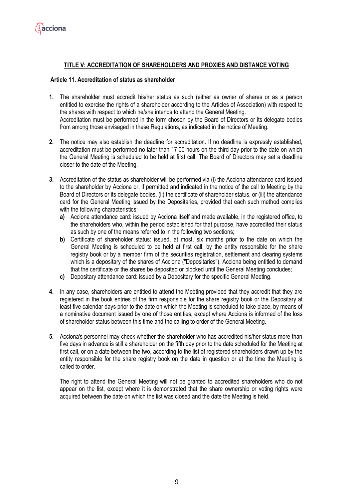

## **TITLE V: ACCREDITATION OF SHAREHOLDERS AND PROXIES AND DISTANCE VOTING**

#### **Article 11. Accreditation of status as shareholder**

- **1.** The shareholder must accredit his/her status as such (either as owner of shares or as a person entitled to exercise the rights of a shareholder according to the Articles of Association) with respect to the shares with respect to which he/she intends to attend the General Meeting. Accreditation must be performed in the form chosen by the Board of Directors or its delegate bodies from among those envisaged in these Regulations, as indicated in the notice of Meeting.
- **2.** The notice may also establish the deadline for accreditation. If no deadline is expressly established, accreditation must be performed no later than 17.00 hours on the third day prior to the date on which the General Meeting is scheduled to be held at first call. The Board of Directors may set a deadline closer to the date of the Meeting.
- **3.** Accreditation of the status as shareholder will be performed via (i) the Acciona attendance card issued to the shareholder by Acciona or, if permitted and indicated in the notice of the call to Meeting by the Board of Directors or its delegate bodies, (ii) the certificate of shareholder status, or (iii) the attendance card for the General Meeting issued by the Depositaries, provided that each such method complies with the following characteristics:
	- **a)** Acciona attendance card: issued by Acciona itself and made available, in the registered office, to the shareholders who, within the period established for that purpose, have accredited their status as such by one of the means referred to in the following two sections;
	- **b)** Certificate of shareholder status: issued, at most, six months prior to the date on which the General Meeting is scheduled to be held at first call, by the entity responsible for the share registry book or by a member firm of the securities registration, settlement and clearing systems which is a depositary of the shares of Acciona ("Depositaries"), Acciona being entitled to demand that the certificate or the shares be deposited or blocked until the General Meeting concludes;
	- **c)** Depositary attendance card: issued by a Depositary for the specific General Meeting.
- **4.** In any case, shareholders are entitled to attend the Meeting provided that they accredit that they are registered in the book entries of the firm responsible for the share registry book or the Depositary at least five calendar days prior to the date on which the Meeting is scheduled to take place, by means of a nominative document issued by one of those entities, except where Acciona is informed of the loss of shareholder status between this time and the calling to order of the General Meeting.
- **5.** Acciona's personnel may check whether the shareholder who has accredited his/her status more than five days in advance is still a shareholder on the fifth day prior to the date scheduled for the Meeting at first call, or on a date between the two, according to the list of registered shareholders drawn up by the entity responsible for the share registry book on the date in question or at the time the Meeting is called to order.

The right to attend the General Meeting will not be granted to accredited shareholders who do not appear on the list, except where it is demonstrated that the share ownership or voting rights were acquired between the date on which the list was closed and the date the Meeting is held.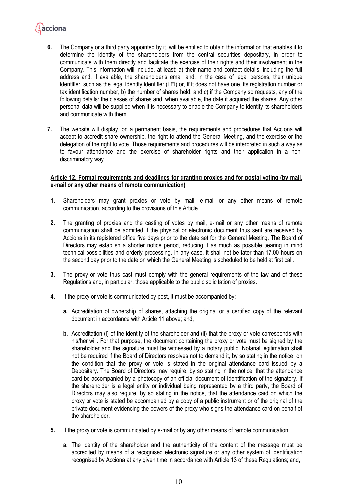## acciona

- **6.** The Company or a third party appointed by it, will be entitled to obtain the information that enables it to determine the identity of the shareholders from the central securities depositary, in order to communicate with them directly and facilitate the exercise of their rights and their involvement in the Company. This information will include, at least: a) their name and contact details; including the full address and, if available, the shareholder's email and, in the case of legal persons, their unique identifier, such as the legal identity identifier (LEI) or, if it does not have one, its registration number or tax identification number, b) the number of shares held; and c) if the Company so requests, any of the following details: the classes of shares and, when available, the date it acquired the shares. Any other personal data will be supplied when it is necessary to enable the Company to identify its shareholders and communicate with them.
- **7.** The website will display, on a permanent basis, the requirements and procedures that Acciona will accept to accredit share ownership, the right to attend the General Meeting, and the exercise or the delegation of the right to vote. Those requirements and procedures will be interpreted in such a way as to favour attendance and the exercise of shareholder rights and their application in a nondiscriminatory way.

#### **Article 12. Formal requirements and deadlines for granting proxies and for postal voting (by mail, e-mail or any other means of remote communication)**

- **1.** Shareholders may grant proxies or vote by mail, e-mail or any other means of remote communication, according to the provisions of this Article.
- **2.** The granting of proxies and the casting of votes by mail, e-mail or any other means of remote communication shall be admitted if the physical or electronic document thus sent are received by Acciona in its registered office five days prior to the date set for the General Meeting. The Board of Directors may establish a shorter notice period, reducing it as much as possible bearing in mind technical possibilities and orderly processing. In any case, it shall not be later than 17.00 hours on the second day prior to the date on which the General Meeting is scheduled to be held at first call.
- **3.** The proxy or vote thus cast must comply with the general requirements of the law and of these Regulations and, in particular, those applicable to the public solicitation of proxies.
- **4.** If the proxy or vote is communicated by post, it must be accompanied by:
	- **a.** Accreditation of ownership of shares, attaching the original or a certified copy of the relevant document in accordance with Article 11 above; and,
	- **b.** Accreditation (i) of the identity of the shareholder and (ii) that the proxy or vote corresponds with his/her will. For that purpose, the document containing the proxy or vote must be signed by the shareholder and the signature must be witnessed by a notary public. Notarial legitimation shall not be required if the Board of Directors resolves not to demand it, by so stating in the notice, on the condition that the proxy or vote is stated in the original attendance card issued by a Depositary. The Board of Directors may require, by so stating in the notice, that the attendance card be accompanied by a photocopy of an official document of identification of the signatory. If the shareholder is a legal entity or individual being represented by a third party, the Board of Directors may also require, by so stating in the notice, that the attendance card on which the proxy or vote is stated be accompanied by a copy of a public instrument or of the original of the private document evidencing the powers of the proxy who signs the attendance card on behalf of the shareholder.
- **5.** If the proxy or vote is communicated by e-mail or by any other means of remote communication:
	- **a.** The identity of the shareholder and the authenticity of the content of the message must be accredited by means of a recognised electronic signature or any other system of identification recognised by Acciona at any given time in accordance with Article 13 of these Regulations; and,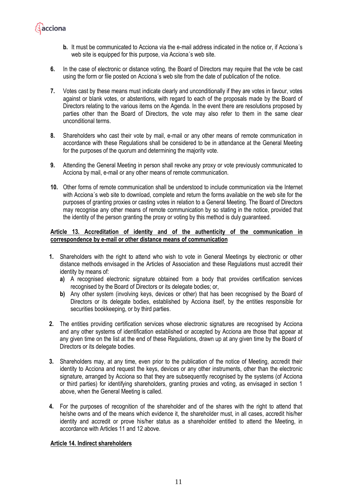

- **6.** In the case of electronic or distance voting, the Board of Directors may require that the vote be cast using the form or file posted on Acciona´s web site from the date of publication of the notice.
- **7.** Votes cast by these means must indicate clearly and unconditionally if they are votes in favour, votes against or blank votes, or abstentions, with regard to each of the proposals made by the Board of Directors relating to the various items on the Agenda. In the event there are resolutions proposed by parties other than the Board of Directors, the vote may also refer to them in the same clear unconditional terms.
- **8.** Shareholders who cast their vote by mail, e-mail or any other means of remote communication in accordance with these Regulations shall be considered to be in attendance at the General Meeting for the purposes of the quorum and determining the majority vote.
- **9.** Attending the General Meeting in person shall revoke any proxy or vote previously communicated to Acciona by mail, e-mail or any other means of remote communication.
- **10.** Other forms of remote communication shall be understood to include communication via the Internet with Acciona´s web site to download, complete and return the forms available on the web site for the purposes of granting proxies or casting votes in relation to a General Meeting. The Board of Directors may recognise any other means of remote communication by so stating in the notice, provided that the identity of the person granting the proxy or voting by this method is duly guaranteed.

## **Article 13. Accreditation of identity and of the authenticity of the communication in correspondence by e-mail or other distance means of communication**

- **1.** Shareholders with the right to attend who wish to vote in General Meetings by electronic or other distance methods envisaged in the Articles of Association and these Regulations must accredit their identity by means of:
	- **a)** A recognised electronic signature obtained from a body that provides certification services recognised by the Board of Directors or its delegate bodies; or,
	- **b)** Any other system (involving keys, devices or other) that has been recognised by the Board of Directors or its delegate bodies, established by Acciona itself, by the entities responsible for securities bookkeeping, or by third parties.
- **2.** The entities providing certification services whose electronic signatures are recognised by Acciona and any other systems of identification established or accepted by Acciona are those that appear at any given time on the list at the end of these Regulations, drawn up at any given time by the Board of Directors or its delegate bodies.
- **3.** Shareholders may, at any time, even prior to the publication of the notice of Meeting, accredit their identity to Acciona and request the keys, devices or any other instruments, other than the electronic signature, arranged by Acciona so that they are subsequently recognised by the systems (of Acciona or third parties) for identifying shareholders, granting proxies and voting, as envisaged in section 1 above, when the General Meeting is called.
- **4.** For the purposes of recognition of the shareholder and of the shares with the right to attend that he/she owns and of the means which evidence it, the shareholder must, in all cases, accredit his/her identity and accredit or prove his/her status as a shareholder entitled to attend the Meeting, in accordance with Articles 11 and 12 above.

## **Article 14. Indirect shareholders**

**A**acciona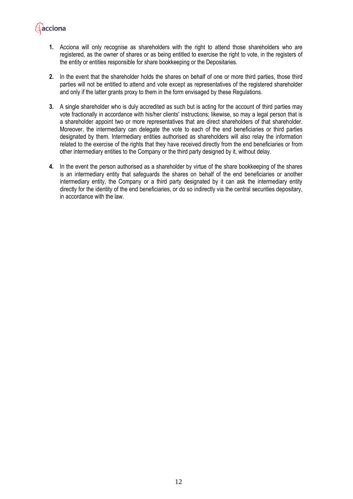

- **1.** Acciona will only recognise as shareholders with the right to attend those shareholders who are registered, as the owner of shares or as being entitled to exercise the right to vote, in the registers of the entity or entities responsible for share bookkeeping or the Depositaries.
- **2.** In the event that the shareholder holds the shares on behalf of one or more third parties, those third parties will not be entitled to attend and vote except as representatives of the registered shareholder and only if the latter grants proxy to them in the form envisaged by these Regulations.
- **3.** A single shareholder who is duly accredited as such but is acting for the account of third parties may vote fractionally in accordance with his/her clients' instructions; likewise, so may a legal person that is a shareholder appoint two or more representatives that are direct shareholders of that shareholder. Moreover, the intermediary can delegate the vote to each of the end beneficiaries or third parties designated by them. Intermediary entities authorised as shareholders will also relay the information related to the exercise of the rights that they have received directly from the end beneficiaries or from other intermediary entities to the Company or the third party designed by it, without delay.
- **4.** In the event the person authorised as a shareholder by virtue of the share bookkeeping of the shares is an intermediary entity that safeguards the shares on behalf of the end beneficiaries or another intermediary entity, the Company or a third party designated by it can ask the intermediary entity directly for the identity of the end beneficiaries, or do so indirectly via the central securities depositary, in accordance with the law.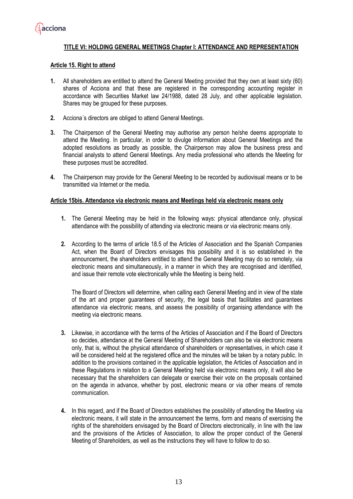

## **TITLE VI: HOLDING GENERAL MEETINGS Chapter I: ATTENDANCE AND REPRESENTATION**

#### **Article 15. Right to attend**

- **1.** All shareholders are entitled to attend the General Meeting provided that they own at least sixty (60) shares of Acciona and that these are registered in the corresponding accounting register in accordance with Securities Market law 24/1988, dated 28 July, and other applicable legislation. Shares may be grouped for these purposes.
- **2.** Acciona´s directors are obliged to attend General Meetings.
- **3.** The Chairperson of the General Meeting may authorise any person he/she deems appropriate to attend the Meeting. In particular, in order to divulge information about General Meetings and the adopted resolutions as broadly as possible, the Chairperson may allow the business press and financial analysts to attend General Meetings. Any media professional who attends the Meeting for these purposes must be accredited.
- **4.** The Chairperson may provide for the General Meeting to be recorded by audiovisual means or to be transmitted via Internet or the media.

#### **Article 15bis. Attendance via electronic means and Meetings held via electronic means only**

- **1.** The General Meeting may be held in the following ways: physical attendance only, physical attendance with the possibility of attending via electronic means or via electronic means only.
- **2.** According to the terms of article 18.5 of the Articles of Association and the Spanish Companies Act, when the Board of Directors envisages this possibility and it is so established in the announcement, the shareholders entitled to attend the General Meeting may do so remotely, via electronic means and simultaneously, in a manner in which they are recognised and identified, and issue their remote vote electronically while the Meeting is being held.

The Board of Directors will determine, when calling each General Meeting and in view of the state of the art and proper guarantees of security, the legal basis that facilitates and guarantees attendance via electronic means, and assess the possibility of organising attendance with the meeting via electronic means.

- **3.** Likewise, in accordance with the terms of the Articles of Association and if the Board of Directors so decides, attendance at the General Meeting of Shareholders can also be via electronic means only, that is, without the physical attendance of shareholders or representatives, in which case it will be considered held at the registered office and the minutes will be taken by a notary public. In addition to the provisions contained in the applicable legislation, the Articles of Association and in these Regulations in relation to a General Meeting held via electronic means only, it will also be necessary that the shareholders can delegate or exercise their vote on the proposals contained on the agenda in advance, whether by post, electronic means or via other means of remote communication.
- **4.** In this regard, and if the Board of Directors establishes the possibility of attending the Meeting via electronic means, it will state in the announcement the terms, form and means of exercising the rights of the shareholders envisaged by the Board of Directors electronically, in line with the law and the provisions of the Articles of Association, to allow the proper conduct of the General Meeting of Shareholders, as well as the instructions they will have to follow to do so.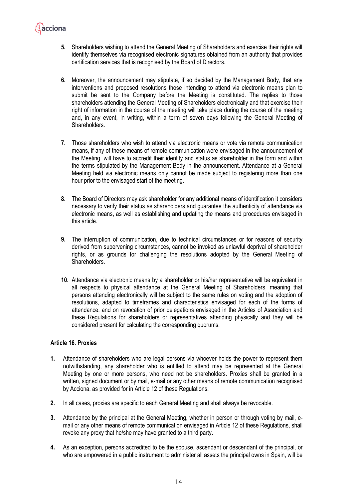

- **5.** Shareholders wishing to attend the General Meeting of Shareholders and exercise their rights will identify themselves via recognised electronic signatures obtained from an authority that provides certification services that is recognised by the Board of Directors.
- **6.** Moreover, the announcement may stipulate, if so decided by the Management Body, that any interventions and proposed resolutions those intending to attend via electronic means plan to submit be sent to the Company before the Meeting is constituted. The replies to those shareholders attending the General Meeting of Shareholders electronically and that exercise their right of information in the course of the meeting will take place during the course of the meeting and, in any event, in writing, within a term of seven days following the General Meeting of Shareholders.
- **7.** Those shareholders who wish to attend via electronic means or vote via remote communication means, if any of these means of remote communication were envisaged in the announcement of the Meeting, will have to accredit their identity and status as shareholder in the form and within the terms stipulated by the Management Body in the announcement. Attendance at a General Meeting held via electronic means only cannot be made subject to registering more than one hour prior to the envisaged start of the meeting.
- **8.** The Board of Directors may ask shareholder for any additional means of identification it considers necessary to verify their status as shareholders and guarantee the authenticity of attendance via electronic means, as well as establishing and updating the means and procedures envisaged in this article.
- **9.** The interruption of communication, due to technical circumstances or for reasons of security derived from supervening circumstances, cannot be invoked as unlawful deprival of shareholder rights, or as grounds for challenging the resolutions adopted by the General Meeting of Shareholders.
- **10.** Attendance via electronic means by a shareholder or his/her representative will be equivalent in all respects to physical attendance at the General Meeting of Shareholders, meaning that persons attending electronically will be subject to the same rules on voting and the adoption of resolutions, adapted to timeframes and characteristics envisaged for each of the forms of attendance, and on revocation of prior delegations envisaged in the Articles of Association and these Regulations for shareholders or representatives attending physically and they will be considered present for calculating the corresponding quorums.

## **Article 16. Proxies**

- **1.** Attendance of shareholders who are legal persons via whoever holds the power to represent them notwithstanding, any shareholder who is entitled to attend may be represented at the General Meeting by one or more persons, who need not be shareholders. Proxies shall be granted in a written, signed document or by mail, e-mail or any other means of remote communication recognised by Acciona, as provided for in Article 12 of these Regulations.
- **2.** In all cases, proxies are specific to each General Meeting and shall always be revocable.
- **3.** Attendance by the principal at the General Meeting, whether in person or through voting by mail, email or any other means of remote communication envisaged in Article 12 of these Regulations, shall revoke any proxy that he/she may have granted to a third party.
- **4.** As an exception, persons accredited to be the spouse, ascendant or descendant of the principal, or who are empowered in a public instrument to administer all assets the principal owns in Spain, will be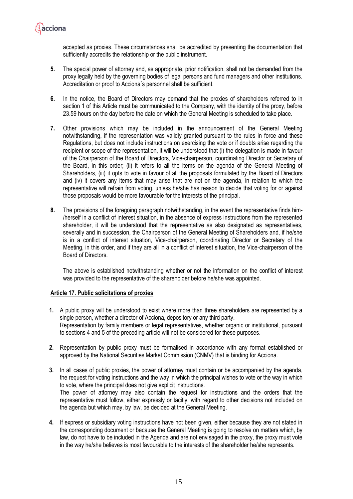

accepted as proxies. These circumstances shall be accredited by presenting the documentation that sufficiently accredits the relationship or the public instrument.

- **5.** The special power of attorney and, as appropriate, prior notification, shall not be demanded from the proxy legally held by the governing bodies of legal persons and fund managers and other institutions. Accreditation or proof to Acciona´s personnel shall be sufficient.
- **6.** In the notice, the Board of Directors may demand that the proxies of shareholders referred to in section 1 of this Article must be communicated to the Company, with the identity of the proxy, before 23.59 hours on the day before the date on which the General Meeting is scheduled to take place.
- **7.** Other provisions which may be included in the announcement of the General Meeting notwithstanding, if the representation was validly granted pursuant to the rules in force and these Regulations, but does not include instructions on exercising the vote or if doubts arise regarding the recipient or scope of the representation, it will be understood that (i) the delegation is made in favour of the Chairperson of the Board of Directors, Vice-chairperson, coordinating Director or Secretary of the Board, in this order; (ii) it refers to all the items on the agenda of the General Meeting of Shareholders, (iii) it opts to vote in favour of all the proposals formulated by the Board of Directors and (iv) it covers any items that may arise that are not on the agenda, in relation to which the representative will refrain from voting, unless he/she has reason to decide that voting for or against those proposals would be more favourable for the interests of the principal.
- **8.** The provisions of the foregoing paragraph notwithstanding, in the event the representative finds him- /herself in a conflict of interest situation, in the absence of express instructions from the represented shareholder, it will be understood that the representative as also designated as representatives, severally and in succession, the Chairperson of the General Meeting of Shareholders and, if he/she is in a conflict of interest situation, Vice-chairperson, coordinating Director or Secretary of the Meeting, in this order, and if they are all in a conflict of interest situation, the Vice-chairperson of the Board of Directors.

The above is established notwithstanding whether or not the information on the conflict of interest was provided to the representative of the shareholder before he/she was appointed.

#### **Article 17. Public solicitations of proxies**

- **1.** A public proxy will be understood to exist where more than three shareholders are represented by a single person, whether a director of Acciona, depository or any third party. Representation by family members or legal representatives, whether organic or institutional, pursuant to sections 4 and 5 of the preceding article will not be considered for these purposes.
- **2.** Representation by public proxy must be formalised in accordance with any format established or approved by the National Securities Market Commission (CNMV) that is binding for Acciona.
- **3.** In all cases of public proxies, the power of attorney must contain or be accompanied by the agenda, the request for voting instructions and the way in which the principal wishes to vote or the way in which to vote, where the principal does not give explicit instructions. The power of attorney may also contain the request for instructions and the orders that the representative must follow, either expressly or tacitly, with regard to other decisions not included on the agenda but which may, by law, be decided at the General Meeting.
- **4.** If express or subsidiary voting instructions have not been given, either because they are not stated in the corresponding document or because the General Meeting is going to resolve on matters which, by law, do not have to be included in the Agenda and are not envisaged in the proxy, the proxy must vote in the way he/she believes is most favourable to the interests of the shareholder he/she represents.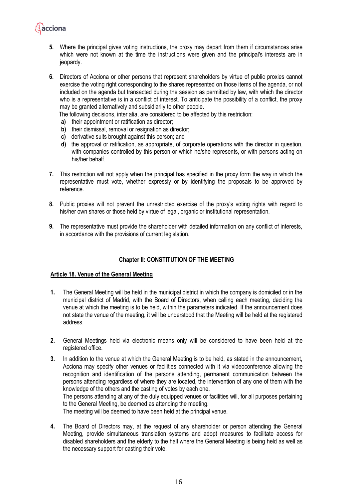

- **5.** Where the principal gives voting instructions, the proxy may depart from them if circumstances arise which were not known at the time the instructions were given and the principal's interests are in jeopardy.
- **6.** Directors of Acciona or other persons that represent shareholders by virtue of public proxies cannot exercise the voting right corresponding to the shares represented on those items of the agenda, or not included on the agenda but transacted during the session as permitted by law, with which the director who is a representative is in a conflict of interest. To anticipate the possibility of a conflict, the proxy may be granted alternatively and subsidiarily to other people.

The following decisions, inter alia, are considered to be affected by this restriction:

- **a)** their appointment or ratification as director;
- **b)** their dismissal, removal or resignation as director;
- **c)** derivative suits brought against this person; and
- **d)** the approval or ratification, as appropriate, of corporate operations with the director in question, with companies controlled by this person or which he/she represents, or with persons acting on his/her behalf.
- **7.** This restriction will not apply when the principal has specified in the proxy form the way in which the representative must vote, whether expressly or by identifying the proposals to be approved by reference.
- **8.** Public proxies will not prevent the unrestricted exercise of the proxy's voting rights with regard to his/her own shares or those held by virtue of legal, organic or institutional representation.
- **9.** The representative must provide the shareholder with detailed information on any conflict of interests, in accordance with the provisions of current legislation.

## **Chapter II: CONSTITUTION OF THE MEETING**

#### **Article 18. Venue of the General Meeting**

- **1.** The General Meeting will be held in the municipal district in which the company is domiciled or in the municipal district of Madrid, with the Board of Directors, when calling each meeting, deciding the venue at which the meeting is to be held, within the parameters indicated. If the announcement does not state the venue of the meeting, it will be understood that the Meeting will be held at the registered address.
- **2.** General Meetings held via electronic means only will be considered to have been held at the registered office.
- **3.** In addition to the venue at which the General Meeting is to be held, as stated in the announcement, Acciona may specify other venues or facilities connected with it via videoconference allowing the recognition and identification of the persons attending, permanent communication between the persons attending regardless of where they are located, the intervention of any one of them with the knowledge of the others and the casting of votes by each one.

The persons attending at any of the duly equipped venues or facilities will, for all purposes pertaining to the General Meeting, be deemed as attending the meeting.

The meeting will be deemed to have been held at the principal venue.

**4.** The Board of Directors may, at the request of any shareholder or person attending the General Meeting, provide simultaneous translation systems and adopt measures to facilitate access for disabled shareholders and the elderly to the hall where the General Meeting is being held as well as the necessary support for casting their vote.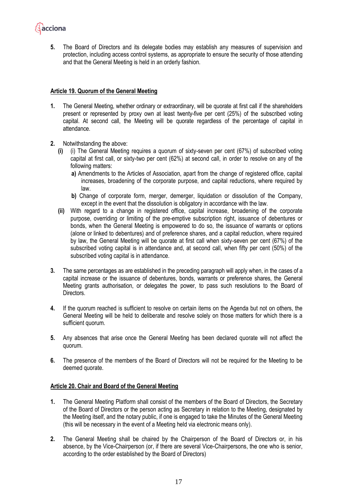

**5.** The Board of Directors and its delegate bodies may establish any measures of supervision and protection, including access control systems, as appropriate to ensure the security of those attending and that the General Meeting is held in an orderly fashion.

#### **Article 19. Quorum of the General Meeting**

- **1.** The General Meeting, whether ordinary or extraordinary, will be quorate at first call if the shareholders present or represented by proxy own at least twenty-five per cent (25%) of the subscribed voting capital. At second call, the Meeting will be quorate regardless of the percentage of capital in attendance.
- **2.** Notwithstanding the above:
	- **(i)** (i) The General Meeting requires a quorum of sixty-seven per cent (67%) of subscribed voting capital at first call, or sixty-two per cent (62%) at second call, in order to resolve on any of the following matters:
		- **a)** Amendments to the Articles of Association, apart from the change of registered office, capital increases, broadening of the corporate purpose, and capital reductions, where required by law.
		- **b)** Change of corporate form, merger, demerger, liquidation or dissolution of the Company, except in the event that the dissolution is obligatory in accordance with the law.
	- **(ii)** With regard to a change in registered office, capital increase, broadening of the corporate purpose, overriding or limiting of the pre-emptive subscription right, issuance of debentures or bonds, when the General Meeting is empowered to do so, the issuance of warrants or options (alone or linked to debentures) and of preference shares, and a capital reduction, where required by law, the General Meeting will be quorate at first call when sixty-seven per cent (67%) of the subscribed voting capital is in attendance and, at second call, when fifty per cent (50%) of the subscribed voting capital is in attendance.
- **3.** The same percentages as are established in the preceding paragraph will apply when, in the cases of a capital increase or the issuance of debentures, bonds, warrants or preference shares, the General Meeting grants authorisation, or delegates the power, to pass such resolutions to the Board of Directors.
- **4.** If the quorum reached is sufficient to resolve on certain items on the Agenda but not on others, the General Meeting will be held to deliberate and resolve solely on those matters for which there is a sufficient quorum.
- **5.** Any absences that arise once the General Meeting has been declared quorate will not affect the quorum.
- **6.** The presence of the members of the Board of Directors will not be required for the Meeting to be deemed quorate.

#### **Article 20. Chair and Board of the General Meeting**

- **1.** The General Meeting Platform shall consist of the members of the Board of Directors, the Secretary of the Board of Directors or the person acting as Secretary in relation to the Meeting, designated by the Meeting itself, and the notary public, if one is engaged to take the Minutes of the General Meeting (this will be necessary in the event of a Meeting held via electronic means only).
- **2.** The General Meeting shall be chaired by the Chairperson of the Board of Directors or, in his absence, by the Vice-Chairperson (or, if there are several Vice-Chairpersons, the one who is senior, according to the order established by the Board of Directors)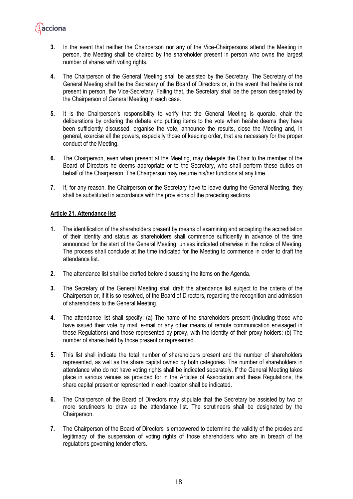- **3.** In the event that neither the Chairperson nor any of the Vice-Chairpersons attend the Meeting in person, the Meeting shall be chaired by the shareholder present in person who owns the largest number of shares with voting rights.
- **4.** The Chairperson of the General Meeting shall be assisted by the Secretary. The Secretary of the General Meeting shall be the Secretary of the Board of Directors or, in the event that he/she is not present in person, the Vice-Secretary. Failing that, the Secretary shall be the person designated by the Chairperson of General Meeting in each case.
- **5.** It is the Chairperson's responsibility to verify that the General Meeting is quorate, chair the deliberations by ordering the debate and putting items to the vote when he/she deems they have been sufficiently discussed, organise the vote, announce the results, close the Meeting and, in general, exercise all the powers, especially those of keeping order, that are necessary for the proper conduct of the Meeting.
- **6.** The Chairperson, even when present at the Meeting, may delegate the Chair to the member of the Board of Directors he deems appropriate or to the Secretary, who shall perform these duties on behalf of the Chairperson. The Chairperson may resume his/her functions at any time.
- **7.** If, for any reason, the Chairperson or the Secretary have to leave during the General Meeting, they shall be substituted in accordance with the provisions of the preceding sections.

## **Article 21. Attendance list**

**A**acciona

- **1.** The identification of the shareholders present by means of examining and accepting the accreditation of their identity and status as shareholders shall commence sufficiently in advance of the time announced for the start of the General Meeting, unless indicated otherwise in the notice of Meeting. The process shall conclude at the time indicated for the Meeting to commence in order to draft the attendance list.
- **2.** The attendance list shall be drafted before discussing the items on the Agenda.
- **3.** The Secretary of the General Meeting shall draft the attendance list subject to the criteria of the Chairperson or, if it is so resolved, of the Board of Directors, regarding the recognition and admission of shareholders to the General Meeting.
- **4.** The attendance list shall specify: (a) The name of the shareholders present (including those who have issued their vote by mail, e-mail or any other means of remote communication envisaged in these Regulations) and those represented by proxy, with the identity of their proxy holders; (b) The number of shares held by those present or represented.
- **5.** This list shall indicate the total number of shareholders present and the number of shareholders represented, as well as the share capital owned by both categories. The number of shareholders in attendance who do not have voting rights shall be indicated separately. If the General Meeting takes place in various venues as provided for in the Articles of Association and these Regulations, the share capital present or represented in each location shall be indicated.
- **6.** The Chairperson of the Board of Directors may stipulate that the Secretary be assisted by two or more scrutineers to draw up the attendance list. The scrutineers shall be designated by the Chairperson.
- **7.** The Chairperson of the Board of Directors is empowered to determine the validity of the proxies and legitimacy of the suspension of voting rights of those shareholders who are in breach of the regulations governing tender offers.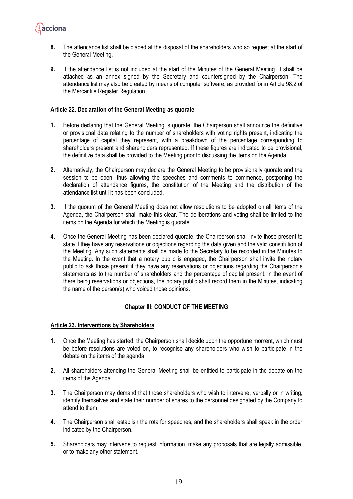

- **8.** The attendance list shall be placed at the disposal of the shareholders who so request at the start of the General Meeting.
- **9.** If the attendance list is not included at the start of the Minutes of the General Meeting, it shall be attached as an annex signed by the Secretary and countersigned by the Chairperson. The attendance list may also be created by means of computer software, as provided for in Article 98.2 of the Mercantile Register Regulation.

#### **Article 22. Declaration of the General Meeting as quorate**

- **1.** Before declaring that the General Meeting is quorate, the Chairperson shall announce the definitive or provisional data relating to the number of shareholders with voting rights present, indicating the percentage of capital they represent, with a breakdown of the percentage corresponding to shareholders present and shareholders represented. If these figures are indicated to be provisional, the definitive data shall be provided to the Meeting prior to discussing the items on the Agenda.
- **2.** Alternatively, the Chairperson may declare the General Meeting to be provisionally quorate and the session to be open, thus allowing the speeches and comments to commence, postponing the declaration of attendance figures, the constitution of the Meeting and the distribution of the attendance list until it has been concluded.
- **3.** If the quorum of the General Meeting does not allow resolutions to be adopted on all items of the Agenda, the Chairperson shall make this clear. The deliberations and voting shall be limited to the items on the Agenda for which the Meeting is quorate.
- **4.** Once the General Meeting has been declared quorate, the Chairperson shall invite those present to state if they have any reservations or objections regarding the data given and the valid constitution of the Meeting. Any such statements shall be made to the Secretary to be recorded in the Minutes to the Meeting. In the event that a notary public is engaged, the Chairperson shall invite the notary public to ask those present if they have any reservations or objections regarding the Chairperson's statements as to the number of shareholders and the percentage of capital present. In the event of there being reservations or objections, the notary public shall record them in the Minutes, indicating the name of the person(s) who voiced those opinions.

## **Chapter III: CONDUCT OF THE MEETING**

#### **Article 23. Interventions by Shareholders**

- **1.** Once the Meeting has started, the Chairperson shall decide upon the opportune moment, which must be before resolutions are voted on, to recognise any shareholders who wish to participate in the debate on the items of the agenda.
- **2.** All shareholders attending the General Meeting shall be entitled to participate in the debate on the items of the Agenda.
- **3.** The Chairperson may demand that those shareholders who wish to intervene, verbally or in writing, identify themselves and state their number of shares to the personnel designated by the Company to attend to them.
- **4.** The Chairperson shall establish the rota for speeches, and the shareholders shall speak in the order indicated by the Chairperson.
- **5.** Shareholders may intervene to request information, make any proposals that are legally admissible, or to make any other statement.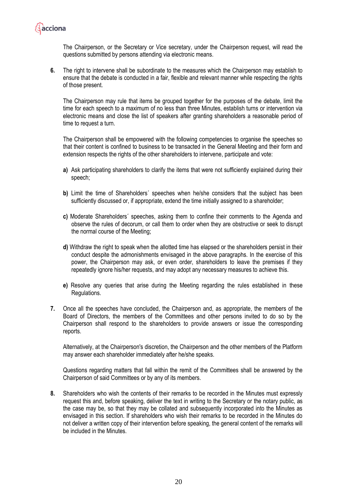

The Chairperson, or the Secretary or Vice secretary, under the Chairperson request, will read the questions submitted by persons attending via electronic means.

**6.** The right to intervene shall be subordinate to the measures which the Chairperson may establish to ensure that the debate is conducted in a fair, flexible and relevant manner while respecting the rights of those present.

The Chairperson may rule that items be grouped together for the purposes of the debate, limit the time for each speech to a maximum of no less than three Minutes, establish turns or intervention via electronic means and close the list of speakers after granting shareholders a reasonable period of time to request a turn.

The Chairperson shall be empowered with the following competencies to organise the speeches so that their content is confined to business to be transacted in the General Meeting and their form and extension respects the rights of the other shareholders to intervene, participate and vote:

- **a)** Ask participating shareholders to clarify the items that were not sufficiently explained during their speech;
- **b)** Limit the time of Shareholders' speeches when he/she considers that the subject has been sufficiently discussed or, if appropriate, extend the time initially assigned to a shareholder;
- **c)** Moderate Shareholders´ speeches, asking them to confine their comments to the Agenda and observe the rules of decorum, or call them to order when they are obstructive or seek to disrupt the normal course of the Meeting;
- **d)** Withdraw the right to speak when the allotted time has elapsed or the shareholders persist in their conduct despite the admonishments envisaged in the above paragraphs. In the exercise of this power, the Chairperson may ask, or even order, shareholders to leave the premises if they repeatedly ignore his/her requests, and may adopt any necessary measures to achieve this.
- **e)** Resolve any queries that arise during the Meeting regarding the rules established in these Regulations.
- **7.** Once all the speeches have concluded, the Chairperson and, as appropriate, the members of the Board of Directors, the members of the Committees and other persons invited to do so by the Chairperson shall respond to the shareholders to provide answers or issue the corresponding reports.

Alternatively, at the Chairperson's discretion, the Chairperson and the other members of the Platform may answer each shareholder immediately after he/she speaks.

Questions regarding matters that fall within the remit of the Committees shall be answered by the Chairperson of said Committees or by any of its members.

**8.** Shareholders who wish the contents of their remarks to be recorded in the Minutes must expressly request this and, before speaking, deliver the text in writing to the Secretary or the notary public, as the case may be, so that they may be collated and subsequently incorporated into the Minutes as envisaged in this section. If shareholders who wish their remarks to be recorded in the Minutes do not deliver a written copy of their intervention before speaking, the general content of the remarks will be included in the Minutes.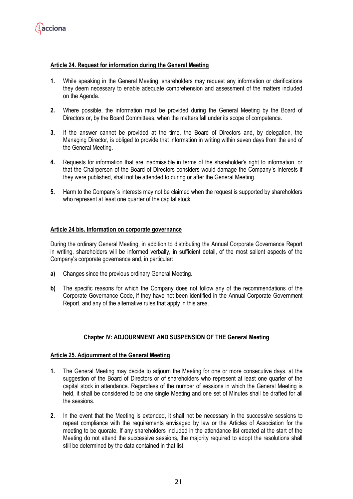

#### **Article 24. Request for information during the General Meeting**

- **1.** While speaking in the General Meeting, shareholders may request any information or clarifications they deem necessary to enable adequate comprehension and assessment of the matters included on the Agenda.
- **2.** Where possible, the information must be provided during the General Meeting by the Board of Directors or, by the Board Committees, when the matters fall under its scope of competence.
- **3.** If the answer cannot be provided at the time, the Board of Directors and, by delegation, the Managing Director, is obliged to provide that information in writing within seven days from the end of the General Meeting.
- **4.** Requests for information that are inadmissible in terms of the shareholder's right to information, or that the Chairperson of the Board of Directors considers would damage the Company´s interests if they were published, shall not be attended to during or after the General Meeting.
- **5.** Harm to the Company´s interests may not be claimed when the request is supported by shareholders who represent at least one quarter of the capital stock.

#### **Article 24 bis. Information on corporate governance**

During the ordinary General Meeting, in addition to distributing the Annual Corporate Governance Report in writing, shareholders will be informed verbally, in sufficient detail, of the most salient aspects of the Company's corporate governance and, in particular:

- **a)** Changes since the previous ordinary General Meeting.
- **b)** The specific reasons for which the Company does not follow any of the recommendations of the Corporate Governance Code, if they have not been identified in the Annual Corporate Government Report, and any of the alternative rules that apply in this area.

## **Chapter IV: ADJOURNMENT AND SUSPENSION OF THE General Meeting**

#### **Article 25. Adjournment of the General Meeting**

- **1.** The General Meeting may decide to adjourn the Meeting for one or more consecutive days, at the suggestion of the Board of Directors or of shareholders who represent at least one quarter of the capital stock in attendance. Regardless of the number of sessions in which the General Meeting is held, it shall be considered to be one single Meeting and one set of Minutes shall be drafted for all the sessions.
- **2.** In the event that the Meeting is extended, it shall not be necessary in the successive sessions to repeat compliance with the requirements envisaged by law or the Articles of Association for the meeting to be quorate. If any shareholders included in the attendance list created at the start of the Meeting do not attend the successive sessions, the majority required to adopt the resolutions shall still be determined by the data contained in that list.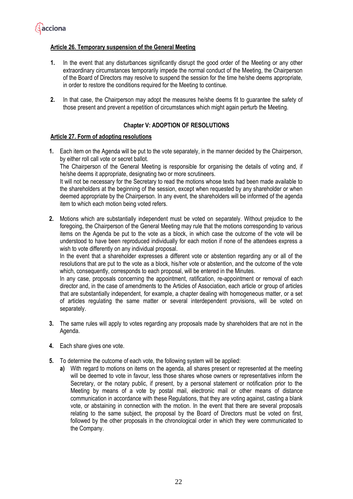

## **Article 26. Temporary suspension of the General Meeting**

- **1.** In the event that any disturbances significantly disrupt the good order of the Meeting or any other extraordinary circumstances temporarily impede the normal conduct of the Meeting, the Chairperson of the Board of Directors may resolve to suspend the session for the time he/she deems appropriate, in order to restore the conditions required for the Meeting to continue.
- **2.** In that case, the Chairperson may adopt the measures he/she deems fit to guarantee the safety of those present and prevent a repetition of circumstances which might again perturb the Meeting.

## **Chapter V: ADOPTION OF RESOLUTIONS**

#### **Article 27. Form of adopting resolutions**

- **1.** Each item on the Agenda will be put to the vote separately, in the manner decided by the Chairperson, by either roll call vote or secret ballot. The Chairperson of the General Meeting is responsible for organising the details of voting and, if he/she deems it appropriate, designating two or more scrutineers. It will not be necessary for the Secretary to read the motions whose texts had been made available to the shareholders at the beginning of the session, except when requested by any shareholder or when deemed appropriate by the Chairperson. In any event, the shareholders will be informed of the agenda item to which each motion being voted refers.
- **2.** Motions which are substantially independent must be voted on separately. Without prejudice to the foregoing, the Chairperson of the General Meeting may rule that the motions corresponding to various items on the Agenda be put to the vote as a block, in which case the outcome of the vote will be understood to have been reproduced individually for each motion if none of the attendees express a wish to vote differently on any individual proposal.

In the event that a shareholder expresses a different vote or abstention regarding any or all of the resolutions that are put to the vote as a block, his/her vote or abstention, and the outcome of the vote which, consequently, corresponds to each proposal, will be entered in the Minutes.

In any case, proposals concerning the appointment, ratification, re-appointment or removal of each director and, in the case of amendments to the Articles of Association, each article or group of articles that are substantially independent, for example, a chapter dealing with homogeneous matter, or a set of articles regulating the same matter or several interdependent provisions, will be voted on separately.

- **3.** The same rules will apply to votes regarding any proposals made by shareholders that are not in the Agenda.
- **4.** Each share gives one vote.
- **5.** To determine the outcome of each vote, the following system will be applied:
	- **a)** With regard to motions on items on the agenda, all shares present or represented at the meeting will be deemed to vote in favour, less those shares whose owners or representatives inform the Secretary, or the notary public, if present, by a personal statement or notification prior to the Meeting by means of a vote by postal mail, electronic mail or other means of distance communication in accordance with these Regulations, that they are voting against, casting a blank vote, or abstaining in connection with the motion. In the event that there are several proposals relating to the same subject, the proposal by the Board of Directors must be voted on first, followed by the other proposals in the chronological order in which they were communicated to the Company.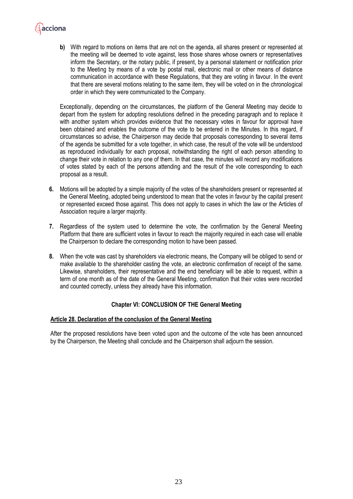

**b)** With regard to motions on items that are not on the agenda, all shares present or represented at the meeting will be deemed to vote against, less those shares whose owners or representatives inform the Secretary, or the notary public, if present, by a personal statement or notification prior to the Meeting by means of a vote by postal mail, electronic mail or other means of distance communication in accordance with these Regulations, that they are voting in favour. In the event that there are several motions relating to the same item, they will be voted on in the chronological order in which they were communicated to the Company.

Exceptionally, depending on the circumstances, the platform of the General Meeting may decide to depart from the system for adopting resolutions defined in the preceding paragraph and to replace it with another system which provides evidence that the necessary votes in favour for approval have been obtained and enables the outcome of the vote to be entered in the Minutes. In this regard, if circumstances so advise, the Chairperson may decide that proposals corresponding to several items of the agenda be submitted for a vote together, in which case, the result of the vote will be understood as reproduced individually for each proposal, notwithstanding the right of each person attending to change their vote in relation to any one of them. In that case, the minutes will record any modifications of votes stated by each of the persons attending and the result of the vote corresponding to each proposal as a result.

- **6.** Motions will be adopted by a simple majority of the votes of the shareholders present or represented at the General Meeting, adopted being understood to mean that the votes in favour by the capital present or represented exceed those against. This does not apply to cases in which the law or the Articles of Association require a larger majority.
- **7.** Regardless of the system used to determine the vote, the confirmation by the General Meeting Platform that there are sufficient votes in favour to reach the majority required in each case will enable the Chairperson to declare the corresponding motion to have been passed.
- **8.** When the vote was cast by shareholders via electronic means, the Company will be obliged to send or make available to the shareholder casting the vote, an electronic confirmation of receipt of the same. Likewise, shareholders, their representative and the end beneficiary will be able to request, within a term of one month as of the date of the General Meeting, confirmation that their votes were recorded and counted correctly, unless they already have this information.

## **Chapter VI: CONCLUSION OF THE General Meeting**

#### **Article 28. Declaration of the conclusion of the General Meeting**

After the proposed resolutions have been voted upon and the outcome of the vote has been announced by the Chairperson, the Meeting shall conclude and the Chairperson shall adjourn the session.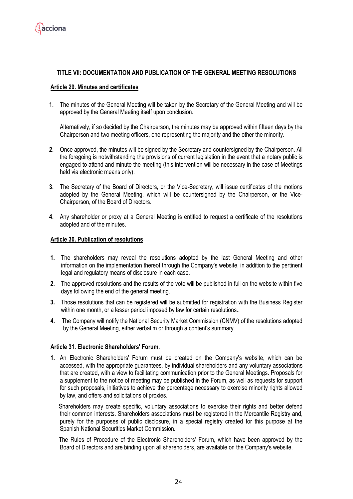

## **TITLE VII: DOCUMENTATION AND PUBLICATION OF THE GENERAL MEETING RESOLUTIONS**

#### **Article 29. Minutes and certificates**

**1.** The minutes of the General Meeting will be taken by the Secretary of the General Meeting and will be approved by the General Meeting itself upon conclusion.

Alternatively, if so decided by the Chairperson, the minutes may be approved within fifteen days by the Chairperson and two meeting officers, one representing the majority and the other the minority.

- **2.** Once approved, the minutes will be signed by the Secretary and countersigned by the Chairperson. All the foregoing is notwithstanding the provisions of current legislation in the event that a notary public is engaged to attend and minute the meeting (this intervention will be necessary in the case of Meetings held via electronic means only).
- **3.** The Secretary of the Board of Directors, or the Vice-Secretary, will issue certificates of the motions adopted by the General Meeting, which will be countersigned by the Chairperson, or the Vice-Chairperson, of the Board of Directors.
- **4.** Any shareholder or proxy at a General Meeting is entitled to request a certificate of the resolutions adopted and of the minutes.

#### **Article 30. Publication of resolutions**

- **1.** The shareholders may reveal the resolutions adopted by the last General Meeting and other information on the implementation thereof through the Company's website, in addition to the pertinent legal and regulatory means of disclosure in each case.
- **2.** The approved resolutions and the results of the vote will be published in full on the website within five days following the end of the general meeting.
- **3.** Those resolutions that can be registered will be submitted for registration with the Business Register within one month, or a lesser period imposed by law for certain resolutions..
- **4.** The Company will notify the National Security Market Commission (CNMV) of the resolutions adopted by the General Meeting, either verbatim or through a content's summary.

#### **Article 31. Electronic Shareholders' Forum.**

**1.** An Electronic Shareholders' Forum must be created on the Company's website, which can be accessed, with the appropriate guarantees, by individual shareholders and any voluntary associations that are created, with a view to facilitating communication prior to the General Meetings. Proposals for a supplement to the notice of meeting may be published in the Forum, as well as requests for support for such proposals, initiatives to achieve the percentage necessary to exercise minority rights allowed by law, and offers and solicitations of proxies.

Shareholders may create specific, voluntary associations to exercise their rights and better defend their common interests. Shareholders associations must be registered in the Mercantile Registry and, purely for the purposes of public disclosure, in a special registry created for this purpose at the Spanish National Securities Market Commission.

The Rules of Procedure of the Electronic Shareholders' Forum, which have been approved by the Board of Directors and are binding upon all shareholders, are available on the Company's website.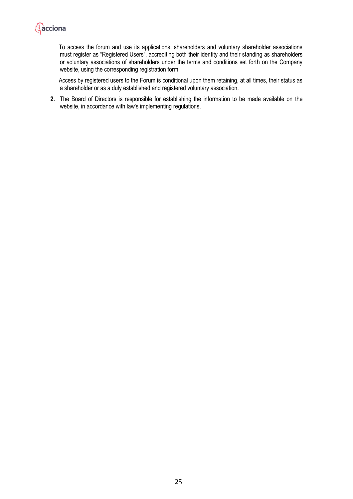

To access the forum and use its applications, shareholders and voluntary shareholder associations must register as "Registered Users", accrediting both their identity and their standing as shareholders or voluntary associations of shareholders under the terms and conditions set forth on the Company website, using the corresponding registration form.

Access by registered users to the Forum is conditional upon them retaining, at all times, their status as a shareholder or as a duly established and registered voluntary association.

**2.** The Board of Directors is responsible for establishing the information to be made available on the website, in accordance with law's implementing regulations.